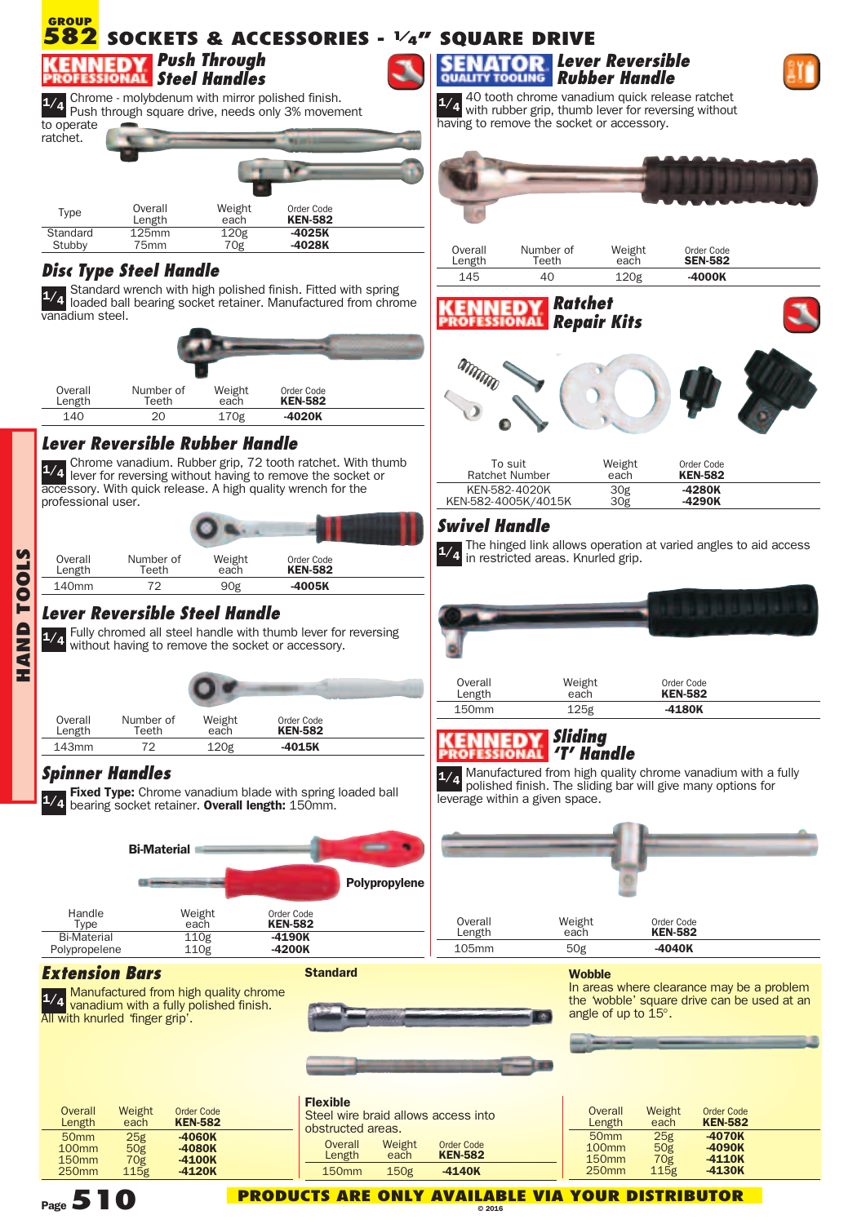#### **GROUP SOCKETS & ACCESSORIES - 1/4" SQUARE DRIVE 582** *Push Through* **QUALITY** *Steel Handles* 40 tooth chrome vanadium quick release ratchet Chrome - molybdenum with mirror polished finish. 1/4 Chrome - molybdenum with mirror polished finish.<br>Push through square drive, needs only 3% movement



# *Disc Type Steel Handle*

Standard wrench with high polished finish. Fitted with spring loaded ball bearing socket retainer. Manufactured from chrome vanadium steel. **1/4**

| Overall<br>Length | Number of<br>Teeth | Weight<br>each | Order Code<br><b>KEN-582</b> |  |
|-------------------|--------------------|----------------|------------------------------|--|
| 140               | 20                 | 170g           | -4020K                       |  |

# *Lever Reversible Rubber Handle*

Chrome vanadium. Rubber grip, 72 tooth ratchet. With thumb **1/4** lever for reversing without having to remove the socket or accessory. With quick release. A high quality wrench for the professional user.

| Overall<br>Length | Number of<br>Teeth | Weight<br>each | Order Code<br><b>KEN-582</b> |  |
|-------------------|--------------------|----------------|------------------------------|--|
| 140 <sub>mm</sub> | 72                 | 90g            | -4005K                       |  |

## *Lever Reversible Steel Handle*

Fully chromed all steel handle with thumb lever for reversing 1/4 Fully chromed all steel handle with thumb lever for<br>without having to remove the socket or accessory.

| Overall<br>Length | Number of<br>Teeth | Weight<br>each   | Order Code<br><b>KEN-582</b> |  |
|-------------------|--------------------|------------------|------------------------------|--|
| 143mm             | 72                 | 120 <sub>g</sub> | $-4015K$                     |  |
|                   |                    |                  |                              |  |

# *Spinner Handles*

**HANDT O O L** <u>ທ</u>

> **Fixed Type:** Chrome vanadium blade with spring loaded ball bearing socket retainer. **Overall length:** 150mm. **1/4**



**Standard**

**Flexible**

obstructed areas.

## *Extension Bars*

**1/4** Manufactured from high quality chrome<br>**1/4** vanadium with a fully polished finish. 1/4 vanadium with a fully polished finish.<br>All with knurled 'finger grip'.



Overall Weight Order Code Length each **KEN-582** 150mm 150g **-4140K**

| <b>Overall</b><br>Length | Weight<br>each   | <b>Order Code</b><br><b>KEN-582</b> |  |
|--------------------------|------------------|-------------------------------------|--|
| 50 <sub>mm</sub>         | 25g              | $-4060K$                            |  |
| 100 <sub>mm</sub>        | 50g              | $-4080K$                            |  |
| 150 <sub>mm</sub>        | 70g              | $-4100K$                            |  |
| <b>250mm</b>             | 115 <sub>g</sub> | $-4120K$                            |  |





1/4 40 tooth chronic variation is quick reversing without having to remove the socket or accessory.



| Overall | Number of   | Weight | Order Code     |  |
|---------|-------------|--------|----------------|--|
| Length  | $\tau$ eeth | each   | <b>SEN-582</b> |  |
| 145     |             | 120g   | $-4000K$       |  |





| To suit             | Weight          | Order Code     |  |
|---------------------|-----------------|----------------|--|
| Ratchet Number      | each            | <b>KEN-582</b> |  |
| KEN-582-4020K       | 30 <sub>g</sub> | -4280K         |  |
| KEN-582-4005K/4015K | 30g             | -4290K         |  |

## *Swivel Handle*

The hinged link allows operation at varied angles to aid access in restricted areas. Knurled grip. **1/4**

| Overall<br>Length | Weight<br>each | Order Code<br><b>KEN-582</b> |  |
|-------------------|----------------|------------------------------|--|
| 150mm             | 125g           | $-4180K$                     |  |

## *Sliding 'T' Handle*

Manufactured from high quality chrome vanadium with a fully 1/4 Manuractured from high quality chrome vanadium with a<br>polished finish. The sliding bar will give many options for leverage within a given space.



#### **Wobble**

In areas where clearance may be a problem the 'wobble' square drive can be used at an angle of up to 15°.





**PRODUCTS ARE ONLY AVAILABLE VIA YOUR DISTRIBUTOR**

**© 2016**